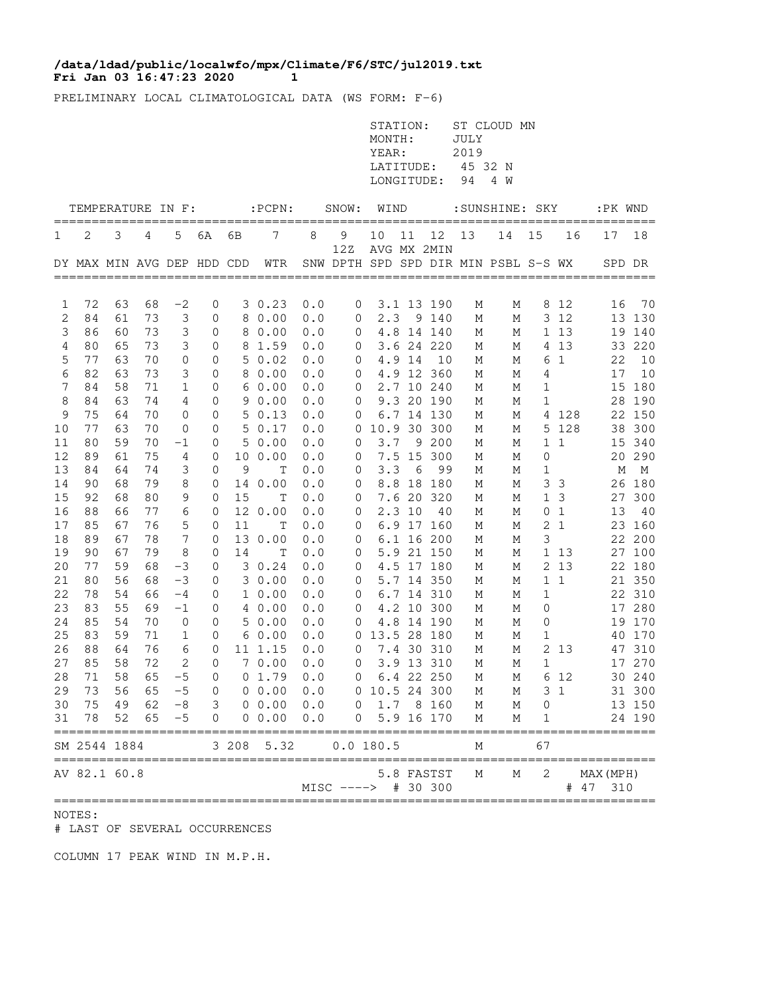## **Fri Jan 03 16:47:23 2020 1 /data/ldad/public/localwfo/mpx/Climate/F6/STC/jul2019.txt**

PRELIMINARY LOCAL CLIMATOLOGICAL DATA (WS FORM: F-6)

|                |                                                |       |    |                 |              |    |                                      |     |                               | STATION:<br>MONTH:<br>YEAR:<br>LATITUDE:<br>LONGITUDE: |        |             | JULY<br>2019<br>45 32 N<br>94 | ST CLOUD MN<br>4 W                   |                     |                |                            |          |
|----------------|------------------------------------------------|-------|----|-----------------|--------------|----|--------------------------------------|-----|-------------------------------|--------------------------------------------------------|--------|-------------|-------------------------------|--------------------------------------|---------------------|----------------|----------------------------|----------|
|                | TEMPERATURE IN F:                              |       |    |                 |              |    | $:\!$ <code>PCPN:</code>             |     | SNOW: WIND                    |                                                        |        |             |                               | :SUNSHINE: SKY                       |                     |                |                            | :PK WND  |
| 1              | 2                                              | 3     | 4  | 5               | 6A           | 6В | 7                                    | 8   | 9                             | 10                                                     | 11     | 12          | =============<br>13           | 14                                   | 15                  | 16             | 17                         | 18       |
|                | DY MAX MIN AVG DEP HDD CDD                     |       |    |                 |              |    | WTR                                  |     | 12Z                           |                                                        |        | AVG MX 2MIN |                               | SNW DPTH SPD SPD DIR MIN PSBL S-S WX |                     |                |                            | SPD DR   |
|                |                                                |       |    |                 |              |    |                                      |     |                               |                                                        |        |             |                               |                                      |                     |                |                            |          |
| 1              | 72                                             | 63    | 68 | $-2$            | 0            |    | 30.23                                | 0.0 | $\mathbf 0$                   |                                                        |        | 3.1 13 190  | М                             | М                                    |                     | 8 1 2          | 16                         | 70       |
| 2              | 84                                             | 61    | 73 | 3               | 0            |    | 8 0.00                               | 0.0 | $\overline{0}$                | 2.3                                                    |        | 9 140       | М                             | М                                    |                     | 3 12           |                            | 13 130   |
| $\mathsf 3$    | 86                                             | 60    | 73 | 3               | 0            |    | 8 0.00                               | 0.0 | $\overline{0}$                |                                                        |        | 4.8 14 140  | М                             | М                                    |                     | 1 13           |                            | 19 140   |
| $\overline{4}$ | 80                                             | 65    | 73 | 3               | 0            |    | 8 1.59                               | 0.0 | $\mathbf 0$                   |                                                        |        | 3.6 24 220  | М                             | М                                    |                     | 4 1 3          |                            | 33 220   |
| 5              | 77                                             | 63    | 70 | $\mathbf 0$     | 0            |    | 50.02                                | 0.0 | $\overline{0}$                |                                                        | 4.9 14 | 10          | М                             | М                                    |                     | 6 1            | 22                         | 10       |
| $\epsilon$     | 82                                             | 63    | 73 | 3               | 0            |    | 8 0.00                               | 0.0 | $\mathbf 0$                   |                                                        |        | 4.9 12 360  | М                             | М                                    | 4                   |                |                            | 17<br>10 |
| 7              | 84                                             | 58    | 71 | $\mathbf{1}$    | 0            |    | 60.00                                | 0.0 | $\overline{0}$                |                                                        |        | 2.7 10 240  | М                             | М                                    | 1                   |                |                            | 15 180   |
| 8              | 84                                             | 63    | 74 | 4               | 0            |    | 90.00                                | 0.0 | $\mathbf 0$                   |                                                        |        | 9.3 20 190  | М                             | М                                    | 1                   |                |                            | 28 190   |
| 9              | 75                                             | 64    | 70 | 0               | 0            |    | 50.13                                | 0.0 | 0                             |                                                        |        | 6.7 14 130  | М                             | М                                    |                     | 4 128          |                            | 22 150   |
| 10             | 77                                             | 63    | 70 | 0               | 0            |    | 50.17                                | 0.0 |                               | 0 10.9 30 300                                          |        |             | М                             | М                                    |                     | 5 128          |                            | 38 300   |
| 11             | 80                                             | 59    | 70 | $-1$            | 0            |    | 50.00                                | 0.0 | $\overline{0}$                |                                                        |        | 3.7 9 200   | М                             | М                                    |                     | $1\quad1$      |                            | 15 340   |
| 12             | 89                                             | 61    | 75 | 4               | 0            |    | 10 0.00                              | 0.0 | $\overline{0}$                |                                                        |        | 7.5 15 300  | М                             | М                                    | 0                   |                |                            | 20 290   |
| 13             | 84                                             | 64    | 74 | 3               | 0            | 9  | Т                                    | 0.0 | $\overline{0}$                | 3.3                                                    | - 6    | 99          | М                             | М                                    | 1                   |                |                            | М<br>M   |
| 14             | 90                                             | 68    | 79 | 8               | 0            |    | 14 0.00                              | 0.0 | $\overline{0}$                |                                                        |        | 8.8 18 180  | М                             | М                                    |                     | 3 <sup>3</sup> |                            | 26 180   |
| 15             | 92                                             | 68    | 80 | 9               | 0            | 15 | $\mathbf T$                          | 0.0 | $\overline{0}$                |                                                        |        | 7.6 20 320  | М                             | М                                    |                     | 1 <sup>3</sup> |                            | 27 300   |
| 16             | 88                                             | 66    | 77 | 6               | 0            |    | 12 0.00                              | 0.0 | $\mathbf 0$                   |                                                        | 2.310  | - 40        | М                             | М                                    |                     | 0 <sub>1</sub> | 13                         | 40       |
| 17             | 85                                             | 67    | 76 | 5               | 0            | 11 | Т                                    | 0.0 | $\overline{0}$                |                                                        |        | 6.9 17 160  | М                             | М                                    |                     | 2 <sub>1</sub> |                            | 23 160   |
| 18             | 89                                             | 67    | 78 | $7\phantom{.0}$ | 0            |    | 13 0.00                              | 0.0 | $\overline{0}$                |                                                        |        | 6.1 16 200  | М                             | М                                    | 3                   |                |                            | 22 200   |
| 19             | 90                                             | 67    | 79 | 8               | 0            | 14 | Т                                    | 0.0 | $\overline{0}$                |                                                        |        | 5.9 21 150  | М                             | М                                    |                     | 1 13           |                            | 27 100   |
| 20             | 77                                             | 59    | 68 | $-3$            | 0            |    | 3 0.24                               | 0.0 | $\mathbf 0$                   |                                                        |        | 4.5 17 180  | М                             | М                                    |                     | 2 1 3          |                            | 22 180   |
| 21             | 80                                             | 56    | 68 | $-3$            | 0            |    | 30.00                                | 0.0 | $\mathbf 0$                   |                                                        |        | 5.7 14 350  | М                             | М                                    |                     | $1\quad1$      |                            | 21 350   |
| 22             | 78                                             | 54    | 66 | $-4$            | 0            |    | 10.00                                | 0.0 | $\mathbf 0$                   |                                                        |        | 6.7 14 310  | М                             | М                                    | $\mathbf{1}$        |                |                            | 22 310   |
| 23             | 83                                             | 55    | 69 | $-1$            | 0            |    | 4 0.00                               | 0.0 | $\mathbf 0$                   |                                                        |        | 4.2 10 300  | М                             | М                                    | 0                   |                |                            | 17 280   |
| 24             | 85                                             | 54    | 70 | 0               | 0            |    | 50.00                                | 0.0 | 0                             |                                                        |        | 4.8 14 190  | М                             | М                                    | 0                   |                |                            | 19 170   |
| 25             | 83                                             | 59    | 71 | $\mathbf{1}$    | $\mathbf{0}$ |    | 60.00                                | 0.0 |                               | 0 13.5 28 180                                          |        |             | М                             | М                                    | $\mathbf 1$         |                |                            | 40 170   |
| 26             | 88                                             | 64    | 76 | 6               | 0            |    | 11 1.15                              | 0.0 | $\circ$                       |                                                        |        | 7.4 30 310  | М                             | М                                    |                     | 2 13           |                            | 47 310   |
| 27             | 85                                             | 58    | 72 | $\mathbf{2}$    | $\mathbf 0$  |    | 70.00                                | 0.0 | $\overline{0}$                |                                                        |        | 3.9 13 310  | М                             | М                                    | $\mathbf{1}$        |                |                            | 17 270   |
|                |                                                |       |    |                 |              |    | 28 71 58 65 -5 0 0 1.79 0.0          |     |                               | 0 6.4 22 250 M                                         |        |             |                               |                                      | M 6 12              |                |                            | 30 240   |
| 29             |                                                | 73 56 |    |                 |              |    | 65 -5 0 0 0.00 0.0 0 10.5 24 300     |     |                               |                                                        |        |             | M                             |                                      | M                   | 3 <sub>1</sub> |                            | 31 300   |
| 30             |                                                |       |    |                 |              |    | 75 49 62 -8 3 0 0.00 0.0 0 1.7 8 160 |     |                               |                                                        |        |             | M                             | M                                    | $\mathsf{O}\xspace$ |                |                            | 13 150   |
| 31             | 78                                             | 52    |    |                 |              |    | $65 -5 0 0 0.00$                     | 0.0 |                               | 0 5.9 16 170                                           |        |             | М                             | М                                    | 1                   |                |                            | 24 190   |
|                | SM 2544 1884                                   |       |    |                 |              |    | 3 208 5.32                           |     | 0.0 180.5                     |                                                        |        |             | М                             |                                      | 67                  |                |                            |          |
|                | ==============================<br>AV 82.1 60.8 |       |    |                 |              |    |                                      |     | ;============================ |                                                        |        | 5.8 FASTST  | М                             | ========<br>М                        | 2                   |                | =============<br>MAX (MPH) |          |
|                |                                                |       |    |                 |              |    |                                      |     | MISC ----> # 30 300           |                                                        |        |             |                               |                                      |                     |                | # 47 310                   |          |

NOTES:

# LAST OF SEVERAL OCCURRENCES

COLUMN 17 PEAK WIND IN M.P.H.